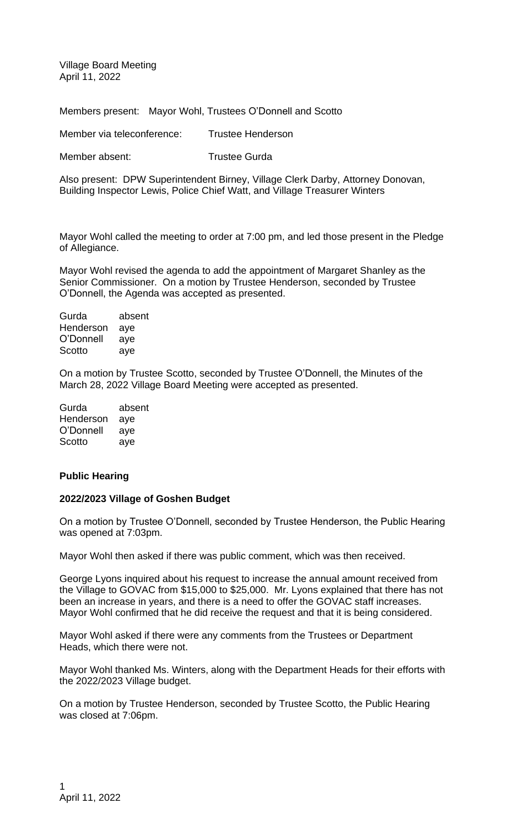Village Board Meeting April 11, 2022

Members present: Mayor Wohl, Trustees O'Donnell and Scotto

Member via teleconference: Trustee Henderson

Member absent: Trustee Gurda

Also present: DPW Superintendent Birney, Village Clerk Darby, Attorney Donovan, Building Inspector Lewis, Police Chief Watt, and Village Treasurer Winters

Mayor Wohl called the meeting to order at 7:00 pm, and led those present in the Pledge of Allegiance.

Mayor Wohl revised the agenda to add the appointment of Margaret Shanley as the Senior Commissioner. On a motion by Trustee Henderson, seconded by Trustee O'Donnell, the Agenda was accepted as presented.

Gurda absent Henderson aye O'Donnell aye Scotto aye

On a motion by Trustee Scotto, seconded by Trustee O'Donnell, the Minutes of the March 28, 2022 Village Board Meeting were accepted as presented.

| Gurda     | absent |
|-----------|--------|
| Henderson | aye    |
| O'Donnell | aye    |
| Scotto    | aye    |

#### **Public Hearing**

#### **2022/2023 Village of Goshen Budget**

On a motion by Trustee O'Donnell, seconded by Trustee Henderson, the Public Hearing was opened at 7:03pm.

Mayor Wohl then asked if there was public comment, which was then received.

George Lyons inquired about his request to increase the annual amount received from the Village to GOVAC from \$15,000 to \$25,000. Mr. Lyons explained that there has not been an increase in years, and there is a need to offer the GOVAC staff increases. Mayor Wohl confirmed that he did receive the request and that it is being considered.

Mayor Wohl asked if there were any comments from the Trustees or Department Heads, which there were not.

Mayor Wohl thanked Ms. Winters, along with the Department Heads for their efforts with the 2022/2023 Village budget.

On a motion by Trustee Henderson, seconded by Trustee Scotto, the Public Hearing was closed at 7:06pm.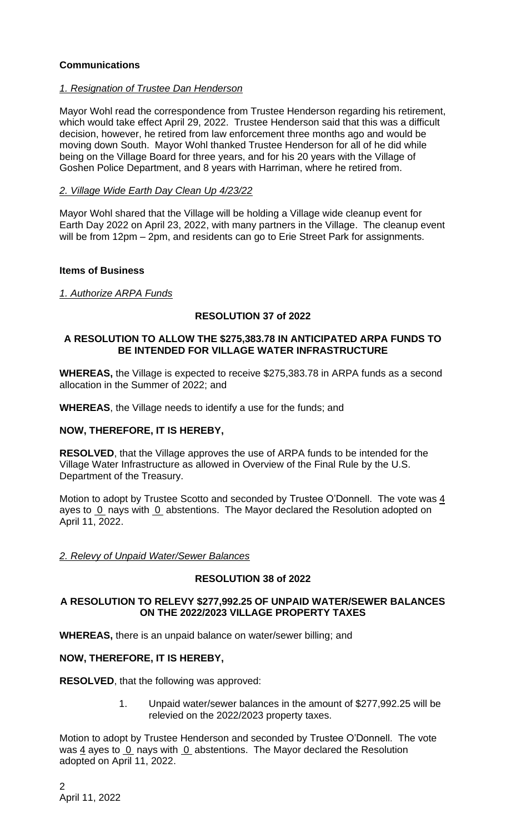## **Communications**

## *1. Resignation of Trustee Dan Henderson*

Mayor Wohl read the correspondence from Trustee Henderson regarding his retirement, which would take effect April 29, 2022. Trustee Henderson said that this was a difficult decision, however, he retired from law enforcement three months ago and would be moving down South. Mayor Wohl thanked Trustee Henderson for all of he did while being on the Village Board for three years, and for his 20 years with the Village of Goshen Police Department, and 8 years with Harriman, where he retired from.

### *2. Village Wide Earth Day Clean Up 4/23/22*

Mayor Wohl shared that the Village will be holding a Village wide cleanup event for Earth Day 2022 on April 23, 2022, with many partners in the Village. The cleanup event will be from 12pm – 2pm, and residents can go to Erie Street Park for assignments.

### **Items of Business**

*1. Authorize ARPA Funds*

## **RESOLUTION 37 of 2022**

### **A RESOLUTION TO ALLOW THE \$275,383.78 IN ANTICIPATED ARPA FUNDS TO BE INTENDED FOR VILLAGE WATER INFRASTRUCTURE**

**WHEREAS,** the Village is expected to receive \$275,383.78 in ARPA funds as a second allocation in the Summer of 2022; and

**WHEREAS**, the Village needs to identify a use for the funds; and

## **NOW, THEREFORE, IT IS HEREBY,**

**RESOLVED**, that the Village approves the use of ARPA funds to be intended for the Village Water Infrastructure as allowed in Overview of the Final Rule by the U.S. Department of the Treasury.

Motion to adopt by Trustee Scotto and seconded by Trustee O'Donnell. The vote was 4 ayes to  $0$  nays with  $0$  abstentions. The Mayor declared the Resolution adopted on April 11, 2022.

#### *2. Relevy of Unpaid Water/Sewer Balances*

## **RESOLUTION 38 of 2022**

### **A RESOLUTION TO RELEVY \$277,992.25 OF UNPAID WATER/SEWER BALANCES ON THE 2022/2023 VILLAGE PROPERTY TAXES**

**WHEREAS,** there is an unpaid balance on water/sewer billing; and

## **NOW, THEREFORE, IT IS HEREBY,**

**RESOLVED**, that the following was approved:

1. Unpaid water/sewer balances in the amount of \$277,992.25 will be relevied on the 2022/2023 property taxes.

Motion to adopt by Trustee Henderson and seconded by Trustee O'Donnell. The vote was  $\frac{4}{3}$  ayes to 0 nays with 0 abstentions. The Mayor declared the Resolution adopted on April 11, 2022.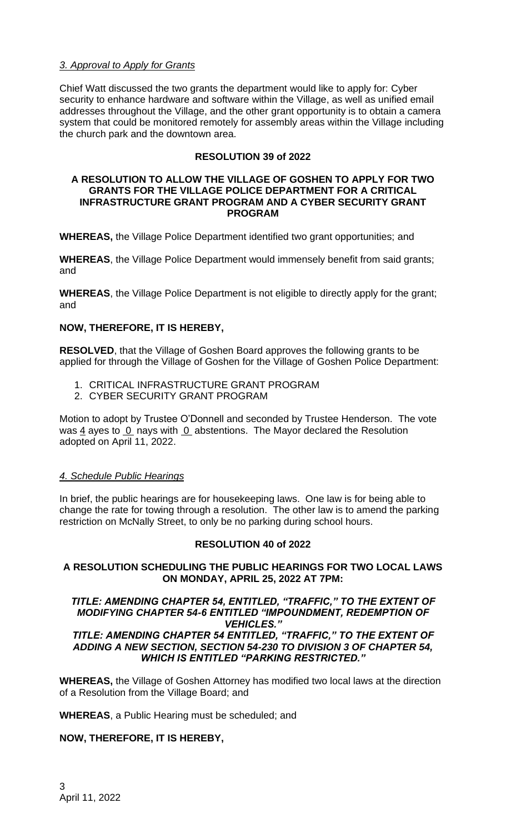## *3. Approval to Apply for Grants*

Chief Watt discussed the two grants the department would like to apply for: Cyber security to enhance hardware and software within the Village, as well as unified email addresses throughout the Village, and the other grant opportunity is to obtain a camera system that could be monitored remotely for assembly areas within the Village including the church park and the downtown area.

## **RESOLUTION 39 of 2022**

#### **A RESOLUTION TO ALLOW THE VILLAGE OF GOSHEN TO APPLY FOR TWO GRANTS FOR THE VILLAGE POLICE DEPARTMENT FOR A CRITICAL INFRASTRUCTURE GRANT PROGRAM AND A CYBER SECURITY GRANT PROGRAM**

**WHEREAS,** the Village Police Department identified two grant opportunities; and

**WHEREAS**, the Village Police Department would immensely benefit from said grants; and

**WHEREAS**, the Village Police Department is not eligible to directly apply for the grant; and

# **NOW, THEREFORE, IT IS HEREBY,**

**RESOLVED**, that the Village of Goshen Board approves the following grants to be applied for through the Village of Goshen for the Village of Goshen Police Department:

- 1. CRITICAL INFRASTRUCTURE GRANT PROGRAM
- 2. CYBER SECURITY GRANT PROGRAM

Motion to adopt by Trustee O'Donnell and seconded by Trustee Henderson. The vote was  $\frac{4}{3}$  ayes to 0 nays with 0 abstentions. The Mayor declared the Resolution adopted on April 11, 2022.

## *4. Schedule Public Hearings*

In brief, the public hearings are for housekeeping laws. One law is for being able to change the rate for towing through a resolution. The other law is to amend the parking restriction on McNally Street, to only be no parking during school hours.

## **RESOLUTION 40 of 2022**

## **A RESOLUTION SCHEDULING THE PUBLIC HEARINGS FOR TWO LOCAL LAWS ON MONDAY, APRIL 25, 2022 AT 7PM:**

#### *TITLE: AMENDING CHAPTER 54, ENTITLED, "TRAFFIC," TO THE EXTENT OF MODIFYING CHAPTER 54-6 ENTITLED "IMPOUNDMENT, REDEMPTION OF VEHICLES."*

### *TITLE: AMENDING CHAPTER 54 ENTITLED, "TRAFFIC," TO THE EXTENT OF ADDING A NEW SECTION, SECTION 54-230 TO DIVISION 3 OF CHAPTER 54, WHICH IS ENTITLED "PARKING RESTRICTED."*

**WHEREAS,** the Village of Goshen Attorney has modified two local laws at the direction of a Resolution from the Village Board; and

**WHEREAS**, a Public Hearing must be scheduled; and

## **NOW, THEREFORE, IT IS HEREBY,**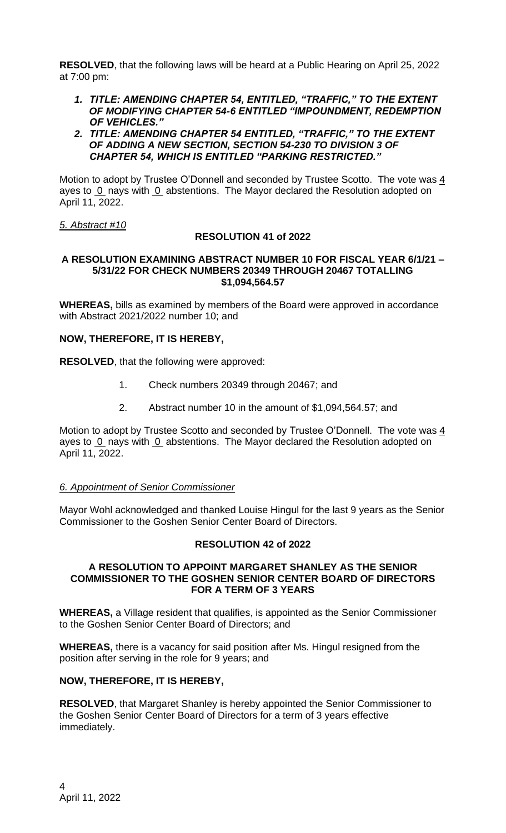**RESOLVED**, that the following laws will be heard at a Public Hearing on April 25, 2022 at 7:00 pm:

*1. TITLE: AMENDING CHAPTER 54, ENTITLED, "TRAFFIC," TO THE EXTENT OF MODIFYING CHAPTER 54-6 ENTITLED "IMPOUNDMENT, REDEMPTION OF VEHICLES."*

#### *2. TITLE: AMENDING CHAPTER 54 ENTITLED, "TRAFFIC," TO THE EXTENT OF ADDING A NEW SECTION, SECTION 54-230 TO DIVISION 3 OF CHAPTER 54, WHICH IS ENTITLED "PARKING RESTRICTED."*

Motion to adopt by Trustee O'Donnell and seconded by Trustee Scotto. The vote was 4 ayes to 0 nays with 0 abstentions. The Mayor declared the Resolution adopted on April 11, 2022.

### *5. Abstract #10*

## **RESOLUTION 41 of 2022**

#### **A RESOLUTION EXAMINING ABSTRACT NUMBER 10 FOR FISCAL YEAR 6/1/21 – 5/31/22 FOR CHECK NUMBERS 20349 THROUGH 20467 TOTALLING \$1,094,564.57**

**WHEREAS,** bills as examined by members of the Board were approved in accordance with Abstract 2021/2022 number 10; and

## **NOW, THEREFORE, IT IS HEREBY,**

**RESOLVED**, that the following were approved:

- 1. Check numbers 20349 through 20467; and
- 2. Abstract number 10 in the amount of \$1,094,564.57; and

Motion to adopt by Trustee Scotto and seconded by Trustee O'Donnell. The vote was 4 ayes to 0 nays with 0 abstentions. The Mayor declared the Resolution adopted on April 11, 2022.

#### *6. Appointment of Senior Commissioner*

Mayor Wohl acknowledged and thanked Louise Hingul for the last 9 years as the Senior Commissioner to the Goshen Senior Center Board of Directors.

#### **RESOLUTION 42 of 2022**

#### **A RESOLUTION TO APPOINT MARGARET SHANLEY AS THE SENIOR COMMISSIONER TO THE GOSHEN SENIOR CENTER BOARD OF DIRECTORS FOR A TERM OF 3 YEARS**

**WHEREAS,** a Village resident that qualifies, is appointed as the Senior Commissioner to the Goshen Senior Center Board of Directors; and

**WHEREAS,** there is a vacancy for said position after Ms. Hingul resigned from the position after serving in the role for 9 years; and

## **NOW, THEREFORE, IT IS HEREBY,**

**RESOLVED**, that Margaret Shanley is hereby appointed the Senior Commissioner to the Goshen Senior Center Board of Directors for a term of 3 years effective immediately.